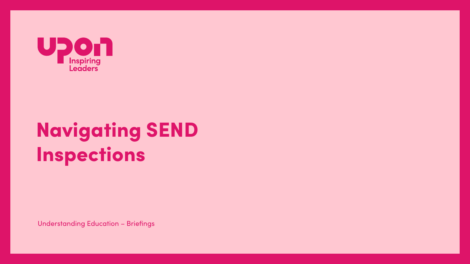

# **Navigating SEND** Inspections

**Understanding Education - Briefings**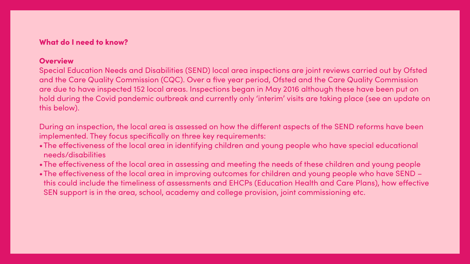### What do I need to know?

### **Overview**

Special Education Needs and Disabilities (SEND) local area inspections are joint reviews carried out by Ofsted and the Care Quality Commission (CQC). Over a five year period, Ofsted and the Care Quality Commission are due to have inspected 152 local areas. Inspections began in May 2016 although these have been put on hold during the Covid pandemic outbreak and currently only 'interim' visits are taking place (see an update on this below).

During an inspection, the local area is assessed on how the different aspects of the SEND reforms have been implemented. They focus specifically on three key requirements:

•The effectiveness of the local area in identifying children and young people who have special educational

•The effectiveness of the local area in assessing and meeting the needs of these children and young people •The effectiveness of the local area in improving outcomes for children and young people who have SEND – this could include the timeliness of assessments and EHCPs (Education Health and Care Plans), how effective

- needs/disabilities
- 
- SEN support is in the area, school, academy and college provision, joint commissioning etc.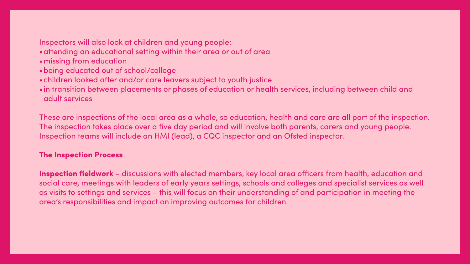### Inspectors will also look at children and young people:

- •attending an educational setting within their area or out of area
- •missing from education
- •being educated out of school/college
- •children looked after and/or care leavers subject to youth justice
- adult services

•in transition between placements or phases of education or health services, including between child and

These are inspections of the local area as a whole, so education, health and care are all part of the inspection. The inspection takes place over a five day period and will involve both parents, carers and young people. Inspection teams will include an HMI (lead), a CQC inspector and an Ofsted inspector.

### The Inspection Process

Inspection fieldwork – discussions with elected members, key local area officers from health, education and social care, meetings with leaders of early years settings, schools and colleges and specialist services as well as visits to settings and services – this will focus on their understanding of and participation in meeting the area's responsibilities and impact on improving outcomes for children.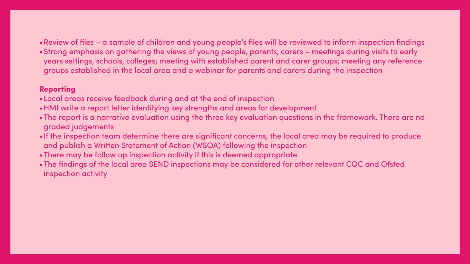### •Review of files – a sample of children and young people's files will be reviewed to inform inspection findings •Strong emphasis on gathering the views of young people, parents, carers – meetings during visits to early years settings, schools, colleges; meeting with established parent and carer groups; meeting any reference

- 
- groups established in the local area and a webinar for parents and carers during the inspection

### Reporting

- •Local areas receive feedback during and at the end of inspection
- •HMI write a report letter identifying key strengths and areas for development
- •The report is a narrative evaluation using the three key evaluation questions in the framework. There are no graded judgements
- •If the inspection team determine there are significant concerns, the local area may be required to produce and publish a Written Statement of Action (WSOA) following the inspection
- •There may be follow up inspection activity if this is deemed appropriate
- •The findings of the local area SEND inspections may be considered for other relevant CQC and Ofsted inspection activity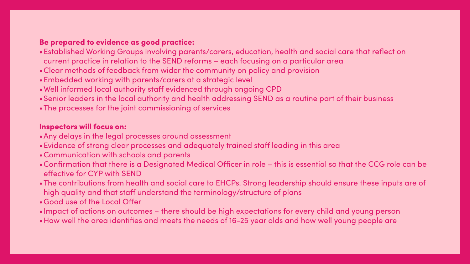### Be prepared to evidence as good practice:

- •Established Working Groups involving parents/carers, education, health and social care that reflect on current practice in relation to the SEND reforms – each focusing on a particular area
- •Clear methods of feedback from wider the community on policy and provision
- •Embedded working with parents/carers at a strategic level
- •Well informed local authority staff evidenced through ongoing CPD
- •Senior leaders in the local authority and health addressing SEND as a routine part of their business
- •The processes for the joint commissioning of services

### Inspectors will focus on:

- •Any delays in the legal processes around assessment
- •Evidence of strong clear processes and adequately trained staff leading in this area
- •Communication with schools and parents
- •Confirmation that there is a Designated Medical Officer in role this is essential so that the CCG role can be effective for CYP with SEND
- •The contributions from health and social care to EHCPs. Strong leadership should ensure these inputs are of high quality and that staff understand the terminology/structure of plans
- •Good use of the Local Offer
- 
- •Impact of actions on outcomes there should be high expectations for every child and young person •How well the area identifies and meets the needs of 16-25 year olds and how well young people are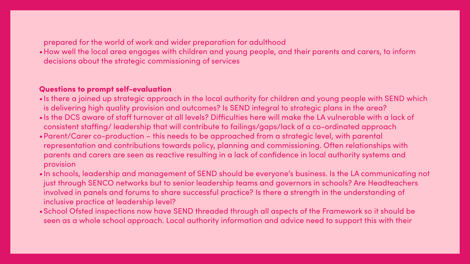prepared for the world of work and wider preparation for adulthood •How well the local area engages with children and young people, and their parents and carers, to inform decisions about the strategic commissioning of services

### Questions to prompt self-evaluation

•Is there a joined up strategic approach in the local authority for children and young people with SEND which •Is the DCS aware of staff turnover at all levels? Difficulties here will make the LA vulnerable with a lack of consistent staffing/ leadership that will contribute to failings/gaps/lack of a co-ordinated approach •Parent/Carer co-production – this needs to be approached from a strategic level, with parental representation and contributions towards policy, planning and commissioning. Often relationships with parents and carers are seen as reactive resulting in a lack of confidence in local authority systems and

- is delivering high quality provision and outcomes? Is SEND integral to strategic plans in the area?
- 
- provision
- inclusive practice at leadership level?
- 

•In schools, leadership and management of SEND should be everyone's business. Is the LA communicating not just through SENCO networks but to senior leadership teams and governors in schools? Are Headteachers involved in panels and forums to share successful practice? Is there a strength in the understanding of

•School Ofsted inspections now have SEND threaded through all aspects of the Framework so it should be seen as a whole school approach. Local authority information and advice need to support this with their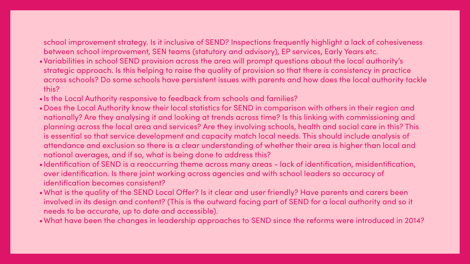## between school improvement, SEN teams (statutory and advisory), EP services, Early Years etc.

school improvement strategy. Is it inclusive of SEND? Inspections frequently highlight a lack of cohesiveness •Variabilities in school SEND provision across the area will prompt questions about the local authority's strategic approach. Is this helping to raise the quality of provision so that there is consistency in practice across schools? Do some schools have persistent issues with parents and how does the local authority tackle

- this?
- •Is the Local Authority responsive to feedback from schools and families?
- •Does the Local Authority know their local statistics for SEND in comparison with others in their region and nationally? Are they analysing it and looking at trends across time? Is this linking with commissioning and planning across the local area and services? Are they involving schools, health and social care in this? This is essential so that service development and capacity match local needs. This should include analysis of attendance and exclusion so there is a clear understanding of whether their area is higher than local and national averages, and if so, what is being done to address this?
- •Identification of SEND is a reoccurring theme across many areas lack of identification, misidentification, over identification. Is there joint working across agencies and with school leaders so accuracy of identification becomes consistent?
- •What is the quality of the SEND Local Offer? Is it clear and user friendly? Have parents and carers been involved in its design and content? (This is the outward facing part of SEND for a local authority and so it needs to be accurate, up to date and accessible).
- 

•What have been the changes in leadership approaches to SEND since the reforms were introduced in 2014?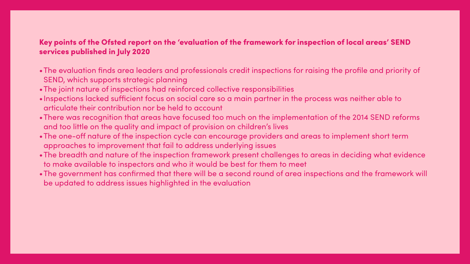### Key points of the Ofsted report on the 'evaluation of the framework for inspection of local areas' SEND services published in July 2020

- •The evaluation finds area leaders and professionals credit inspections for raising the profile and priority of SEND, which supports strategic planning
- •The joint nature of inspections had reinforced collective responsibilities
- •Inspections lacked sufficient focus on social care so a main partner in the process was neither able to articulate their contribution nor be held to account
- •There was recognition that areas have focused too much on the implementation of the 2014 SEND reforms and too little on the quality and impact of provision on children's lives
- •The one-off nature of the inspection cycle can encourage providers and areas to implement short term approaches to improvement that fail to address underlying issues
- •The breadth and nature of the inspection framework present challenges to areas in deciding what evidence to make available to inspectors and who it would be best for them to meet
- •The government has confirmed that there will be a second round of area inspections and the framework will be updated to address issues highlighted in the evaluation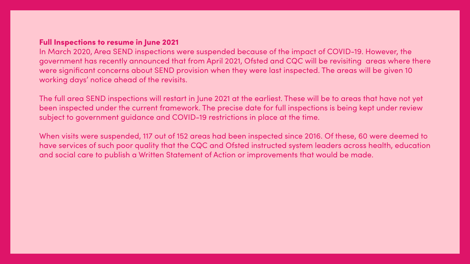### **Full Inspections to resume in June 2021**

In March 2020, Area SEND inspections were suspended because of the impact of COVID-19. However, the government has recently announced that from April 2021, Ofsted and CQC will be revisiting areas where there were significant concerns about SEND provision when they were last inspected. The areas will be given 10 working days' notice ahead of the revisits.

The full area SEND inspections will restart in June 2021 at the earliest. These will be to areas that have not yet been inspected under the current framework. The precise date for full inspections is being kept under review subject to government guidance and COVID-19 restrictions in place at the time.

When visits were suspended, 117 out of 152 areas had been inspected since 2016. Of these, 60 were deemed to have services of such poor quality that the CQC and Ofsted instructed system leaders across health, education and social care to publish a Written Statement of Action or improvements that would be made.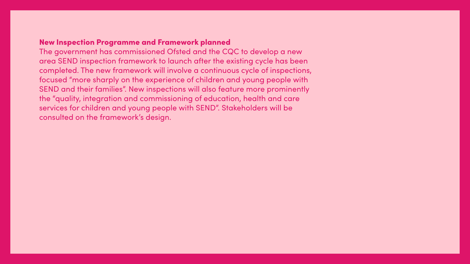### **New Inspection Programme and Framework planned**

The government has commissioned Ofsted and the CQC to develop a new area SEND inspection framework to launch after the existing cycle has been completed. The new framework will involve a continuous cycle of inspections, focused "more sharply on the experience of children and young people with SEND and their families". New inspections will also feature more prominently the "quality, integration and commissioning of education, health and care services for children and young people with SEND". Stakeholders will be consulted on the framework's design.